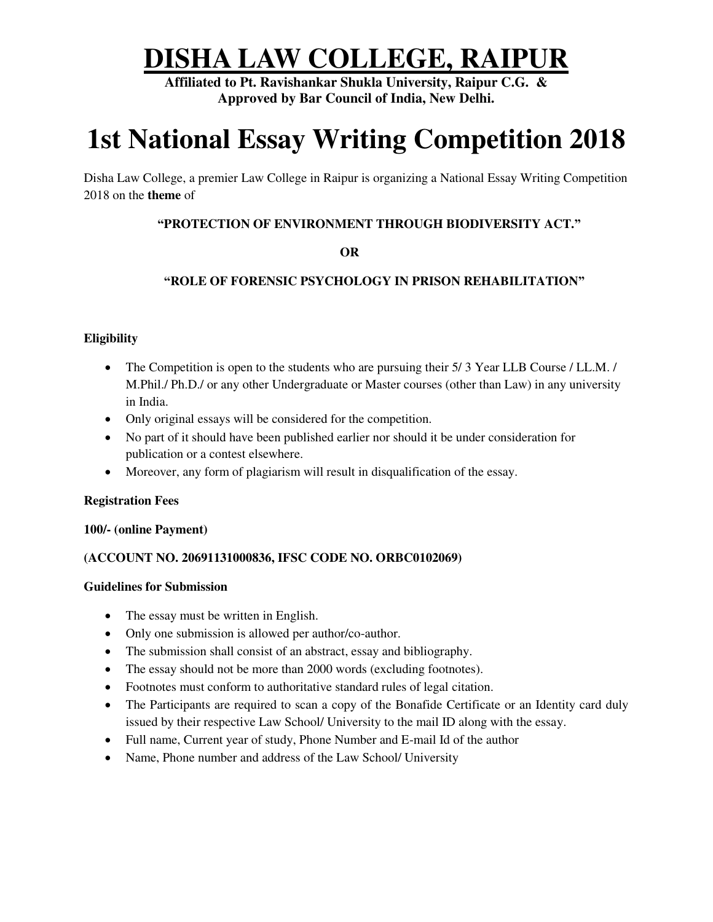# **DISHA LAW COLLEGE, RAIPUR**

**Affiliated to Pt. Ravishankar Shukla University, Raipur C.G. & Approved by Bar Council of India, New Delhi.** 

# **1st National Essay Writing Competition 2018**

Disha Law College, a premier Law College in Raipur is organizing a National Essay Writing Competition 2018 on the **theme** of

## **"PROTECTION OF ENVIRONMENT THROUGH BIODIVERSITY ACT."**

## **OR**

# **"ROLE OF FORENSIC PSYCHOLOGY IN PRISON REHABILITATION"**

### **Eligibility**

- The Competition is open to the students who are pursuing their 5/3 Year LLB Course / LL.M. / M.Phil./ Ph.D./ or any other Undergraduate or Master courses (other than Law) in any university in India.
- Only original essays will be considered for the competition.
- No part of it should have been published earlier nor should it be under consideration for publication or a contest elsewhere.
- Moreover, any form of plagiarism will result in disqualification of the essay.

#### **Registration Fees**

#### **100/- (online Payment)**

#### **(ACCOUNT NO. 20691131000836, IFSC CODE NO. ORBC0102069)**

#### **Guidelines for Submission**

- The essay must be written in English.
- Only one submission is allowed per author/co-author.
- The submission shall consist of an abstract, essay and bibliography.
- The essay should not be more than 2000 words (excluding footnotes).
- Footnotes must conform to authoritative standard rules of legal citation.
- The Participants are required to scan a copy of the Bonafide Certificate or an Identity card duly issued by their respective Law School/ University to the mail ID along with the essay.
- Full name, Current year of study, Phone Number and E-mail Id of the author
- Name, Phone number and address of the Law School/ University